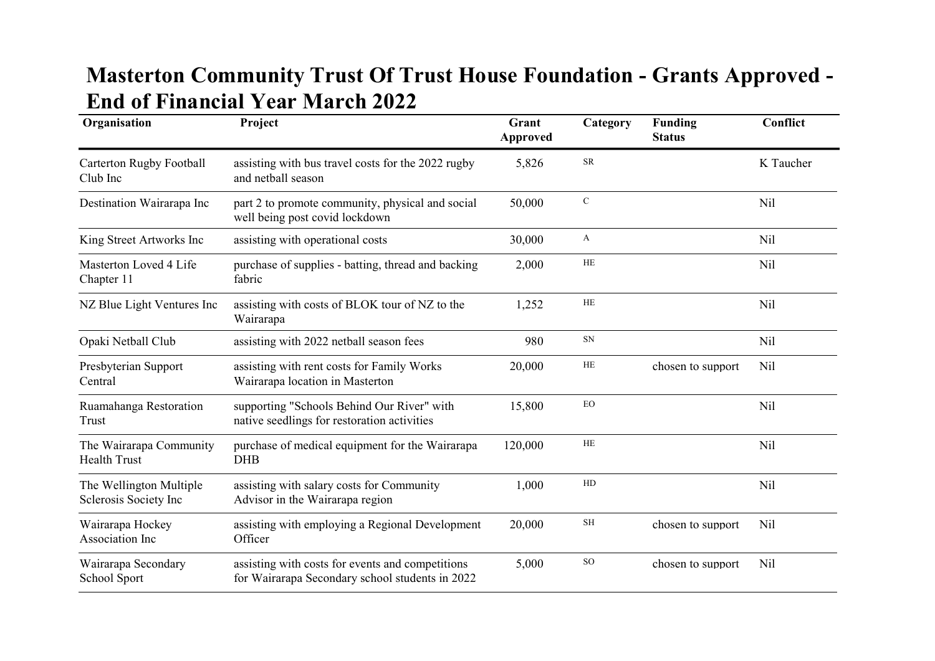## Masterton Community Trust Of Trust House Foundation - Grants Approved - End of Financial Year March 2022

| Organisation                                     | Project                                                                                             | Grant<br>Approved | Category    | <b>Funding</b><br><b>Status</b> | Conflict  |
|--------------------------------------------------|-----------------------------------------------------------------------------------------------------|-------------------|-------------|---------------------------------|-----------|
| <b>Carterton Rugby Football</b><br>Club Inc      | assisting with bus travel costs for the 2022 rugby<br>and netball season                            | 5,826             | ${\sf SR}$  |                                 | K Taucher |
| Destination Wairarapa Inc                        | part 2 to promote community, physical and social<br>well being post covid lockdown                  | 50,000            | ${\bf C}$   |                                 | Nil       |
| King Street Artworks Inc                         | assisting with operational costs                                                                    | 30,000            | A           |                                 | Nil       |
| Masterton Loved 4 Life<br>Chapter 11             | purchase of supplies - batting, thread and backing<br>fabric                                        | 2,000             | <b>HE</b>   |                                 | Nil       |
| NZ Blue Light Ventures Inc                       | assisting with costs of BLOK tour of NZ to the<br>Wairarapa                                         | 1,252             | $\rm HE$    |                                 | Nil       |
| Opaki Netball Club                               | assisting with 2022 netball season fees                                                             | 980               | SN          |                                 | Nil       |
| Presbyterian Support<br>Central                  | assisting with rent costs for Family Works<br>Wairarapa location in Masterton                       | 20,000            | HE          | chosen to support               | Nil       |
| Ruamahanga Restoration<br>Trust                  | supporting "Schools Behind Our River" with<br>native seedlings for restoration activities           | 15,800            | $_{\rm EO}$ |                                 | Nil       |
| The Wairarapa Community<br><b>Health Trust</b>   | purchase of medical equipment for the Wairarapa<br><b>DHB</b>                                       | 120,000           | HE          |                                 | Nil       |
| The Wellington Multiple<br>Sclerosis Society Inc | assisting with salary costs for Community<br>Advisor in the Wairarapa region                        | 1,000             | HD          |                                 | Nil       |
| Wairarapa Hockey<br>Association Inc              | assisting with employing a Regional Development<br>Officer                                          | 20,000            | <b>SH</b>   | chosen to support               | Nil       |
| Wairarapa Secondary<br>School Sport              | assisting with costs for events and competitions<br>for Wairarapa Secondary school students in 2022 | 5,000             | <b>SO</b>   | chosen to support               | Nil       |